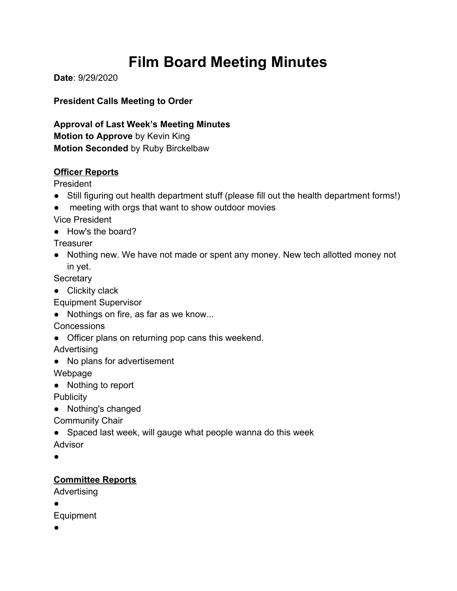# **Film Board Meeting Minutes**

**Date**: 9/29/2020

**President Calls Meeting to Order**

**Approval of Last Week's Meeting Minutes Motion to Approve** by Kevin King **Motion Seconded** by Ruby Birckelbaw

# **Officer Reports**

President

- Still figuring out health department stuff (please fill out the health department forms!)
- meeting with orgs that want to show outdoor movies
- Vice President
- How's the board?

**Treasurer** 

• Nothing new. We have not made or spent any money. New tech allotted money not in yet.

**Secretary** 

● Clickity clack

Equipment Supervisor

● Nothings on fire, as far as we know...

**Concessions** 

● Officer plans on returning pop cans this weekend.

Advertising

● No plans for advertisement

Webpage

● Nothing to report

**Publicity** 

● Nothing's changed

Community Chair

• Spaced last week, will gauge what people wanna do this week

Advisor

●

# **Committee Reports**

Advertising

●

Equipment

●